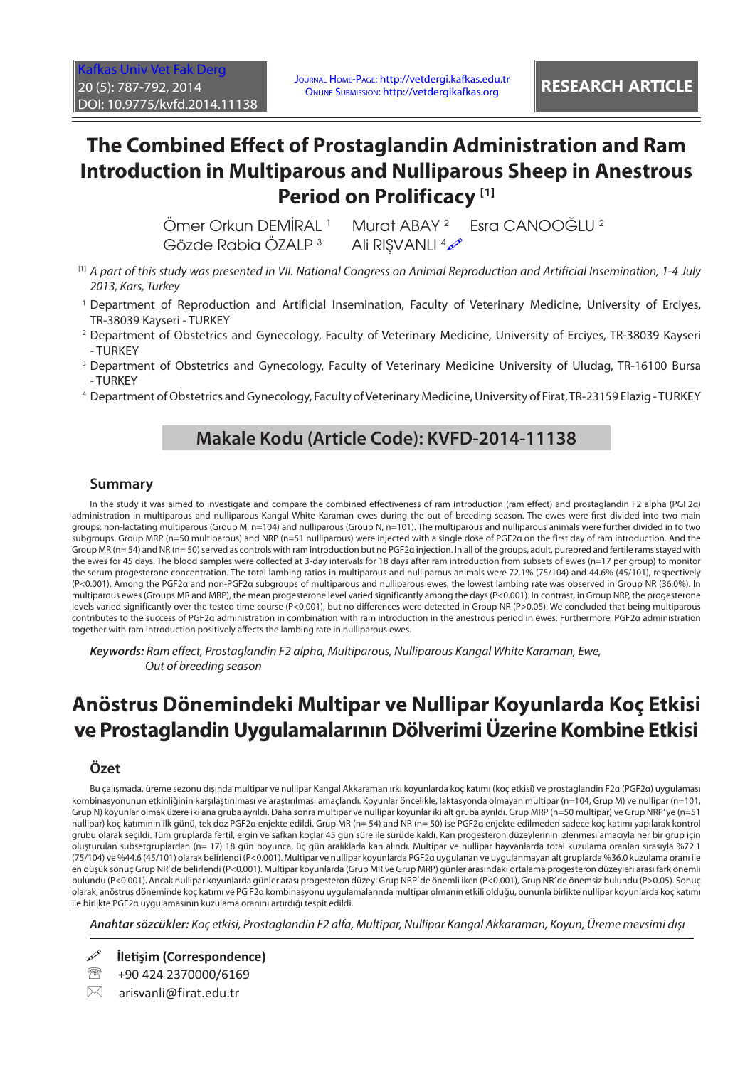# **The Combined Effect of Prostaglandin Administration and Ram Introduction in Multiparous and Nulliparous Sheep in Anestrous Period on Prolificacy [1]**

 Ömer Orkun DEMİRAL <sup>1</sup> Gözde Rabia ÖZALP <sup>3</sup>

Murat ABAY<sup>2</sup> Esra CANOOĞLU<sup>2</sup> Ali RIŞVANLI <sup>4</sup>

- [1] *A part of this study was presented in VII. National Congress on Animal Reproduction and Artificial Insemination, 1-4 July 2013, Kars, Turkey*
- 1 Department of Reproduction and Artificial Insemination, Faculty of Veterinary Medicine, University of Erciyes, TR-38039 Kayseri - TURKEY
- 2 Department of Obstetrics and Gynecology, Faculty of Veterinary Medicine, University of Erciyes, TR-38039 Kayseri - TURKEY
- 3 Department of Obstetrics and Gynecology, Faculty of Veterinary Medicine University of Uludag, TR-16100 Bursa - TURKEY
- 4 Department of Obstetrics and Gynecology, Faculty of Veterinary Medicine, University of Firat, TR-23159 Elazig TURKEY

## **Makale Kodu (Article Code): KVFD-2014-11138**

#### **Summary**

In the study it was aimed to investigate and compare the combined effectiveness of ram introduction (ram effect) and prostaglandin F2 alpha (PGF2α) administration in multiparous and nulliparous Kangal White Karaman ewes during the out of breeding season. The ewes were first divided into two main groups: non-lactating multiparous (Group M, n=104) and nulliparous (Group N, n=101). The multiparous and nulliparous animals were further divided in to two subgroups. Group MRP (n=50 multiparous) and NRP (n=51 nulliparous) were injected with a single dose of PGF2α on the first day of ram introduction. And the Group MR (n= 54) and NR (n= 50) served as controls with ram introduction but no PGF2α injection. In all of the groups, adult, purebred and fertile rams stayed with the ewes for 45 days. The blood samples were collected at 3-day intervals for 18 days after ram introduction from subsets of ewes (n=17 per group) to monitor the serum progesterone concentration. The total lambing ratios in multiparous and nulliparous animals were 72.1% (75/104) and 44.6% (45/101), respectively (P<0.001). Among the PGF2α and non-PGF2α subgroups of multiparous and nulliparous ewes, the lowest lambing rate was observed in Group NR (36.0%). In multiparous ewes (Groups MR and MRP), the mean progesterone level varied significantly among the days (P<0.001). In contrast, in Group NRP, the progesterone levels varied significantly over the tested time course (P<0.001), but no differences were detected in Group NR (P>0.05). We concluded that being multiparous contributes to the success of PGF2α administration in combination with ram introduction in the anestrous period in ewes. Furthermore, PGF2α administration together with ram introduction positively affects the lambing rate in nulliparous ewes.

*Keywords: Ram effect, Prostaglandin F2 alpha, Multiparous, Nulliparous Kangal White Karaman, Ewe, Out of breeding season*

# **Anöstrus Dönemindeki Multipar ve Nullipar Koyunlarda Koç Etkisi ve Prostaglandin Uygulamalarının Dölverimi Üzerine Kombine Etkisi**

#### **Özet**

Bu çalışmada, üreme sezonu dışında multipar ve nullipar Kangal Akkaraman ırkı koyunlarda koç katımı (koç etkisi) ve prostaglandin F2α (PGF2α) uygulaması kombinasyonunun etkinliğinin karşılaştırılması ve araştırılması amaçlandı. Koyunlar öncelikle, laktasyonda olmayan multipar (n=104, Grup M) ve nullipar (n=101, Grup N) koyunlar olmak üzere iki ana gruba ayrıldı. Daha sonra multipar ve nullipar koyunlar iki alt gruba ayrıldı. Grup MRP (n=50 multipar) ve Grup NRP' ye (n=51 nullipar) koç katımının ilk günü, tek doz PGF2α enjekte edildi. Grup MR (n= 54) and NR (n= 50) ise PGF2α enjekte edilmeden sadece koç katımı yapılarak kontrol grubu olarak seçildi. Tüm gruplarda fertil, ergin ve safkan koçlar 45 gün süre ile sürüde kaldı. Kan progesteron düzeylerinin izlenmesi amacıyla her bir grup için oluşturulan subsetgruplardan (n= 17) 18 gün boyunca, üç gün aralıklarla kan alındı. Multipar ve nullipar hayvanlarda total kuzulama oranları sırasıyla %72.1 (75/104) ve %44.6 (45/101) olarak belirlendi (P<0.001). Multipar ve nullipar koyunlarda PGF2α uygulanan ve uygulanmayan alt gruplarda %36.0 kuzulama oranı ile en düşük sonuç Grup NR' de belirlendi (P<0.001). Multipar koyunlarda (Grup MR ve Grup MRP) günler arasındaki ortalama progesteron düzeyleri arası fark önemli bulundu (P<0.001). Ancak nullipar koyunlarda günler arası progesteron düzeyi Grup NRP' de önemli iken (P<0.001), Grup NR' de önemsiz bulundu (P>0.05). Sonuç olarak; anöstrus döneminde koç katımı ve PG F2α kombinasyonu uygulamalarında multipar olmanın etkili olduğu, bununla birlikte nullipar koyunlarda koç katımı ile birlikte PGF2α uygulamasının kuzulama oranını artırdığı tespit edildi.

*Anahtar sözcükler: Koç etkisi, Prostaglandin F2 alfa, Multipar, Nullipar Kangal Akkaraman, Koyun, Üreme mevsimi dışı*

 $\boxtimes$  arisvanli@firat.edu.tr

**İletişim (Correspondence)**

<sup>&</sup>lt;sup>3</sup> +90 424 2370000/6169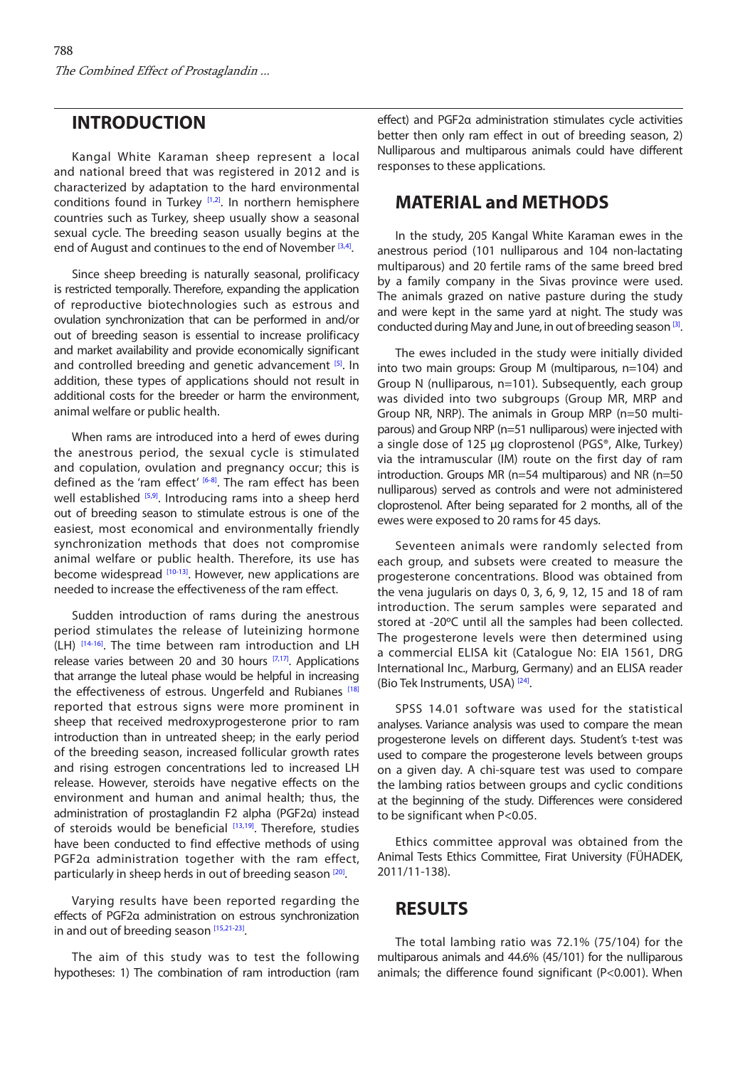### <span id="page-1-0"></span>**INTRODUCTION**

Kangal White Karaman sheep represent a local and national breed that was registered in 2012 and is characterized by adaptation to the hard environmental conditions found in Turkey [\[1,2\].](#page-4-0) In northern hemisphere countries such as Turkey, sheep usually show a seasonal sexual cycle. The breeding season usually begins at the end of August and continues to the end of November [\[3,4\]](#page-4-0).

Since sheep breeding is naturally seasonal, prolificacy is restricted temporally. Therefore, expanding the application of reproductive biotechnologies such as estrous and ovulation synchronization that can be performed in and/or out of breeding season is essential to increase prolificacy and market availability and provide economically significant and controlled breeding and genetic advancement [\[5\]](#page-4-0). In addition, these types of applications should not result in additional costs for the breeder or harm the environment, animal welfare or public health.

When rams are introduced into a herd of ewes during the anestrous period, the sexual cycle is stimulated and copulation, ovulation and pregnancy occur; this is defined as the 'ram effect' [\[6-8\]](#page-4-0). The ram effect has been well established [\[5,9\].](#page-4-0) Introducing rams into a sheep herd out of breeding season to stimulate estrous is one of the easiest, most economical and environmentally friendly synchronization methods that does not compromise animal welfare or public health. Therefore, its use has become widespread [\[10-13\]](#page-4-0). However, new applications are needed to increase the effectiveness of the ram effect.

Sudden introduction of rams during the anestrous period stimulates the release of luteinizing hormone (LH) [\[14-16\]](#page-4-0). The time between ram introduction and LH release varies between 20 and 30 hours  $[7,17]$ . Applications that arrange the luteal phase would be helpful in increasing the effectiveness of estrous. Ungerfeld and Rubianes<sup>[\[18\]](#page-4-0)</sup> reported that estrous signs were more prominent in sheep that received medroxyprogesterone prior to ram introduction than in untreated sheep; in the early period of the breeding season, increased follicular growth rates and rising estrogen concentrations led to increased LH release. However, steroids have negative effects on the environment and human and animal health; thus, the administration of prostaglandin F2 alpha (PGF2α) instead of steroids would be beneficial  $[13,19]$ . Therefore, studies have been conducted to find effective methods of using PGF2α administration together with the ram effect, particularly in sheep herds in out of breeding season [\[20\].](#page-4-0)

Varying results have been reported regarding the effects of PGF2α administration on estrous synchronization in and out of breeding season [\[15,21-23\].](#page-4-0)

The aim of this study was to test the following hypotheses: 1) The combination of ram introduction (ram effect) and PGF2α administration stimulates cycle activities better then only ram effect in out of breeding season, 2) Nulliparous and multiparous animals could have different responses to these applications.

#### **MATERIAL and METHODS**

In the study, 205 Kangal White Karaman ewes in the anestrous period (101 nulliparous and 104 non-lactating multiparous) and 20 fertile rams of the same breed bred by a family company in the Sivas province were used. The animals grazed on native pasture during the study and were kept in the same yard at night. The study was conducted during May and June, in out of breeding season [\[3\].](#page-4-0)

The ewes included in the study were initially divided into two main groups: Group M (multiparous, n=104) and Group N (nulliparous, n=101). Subsequently, each group was divided into two subgroups (Group MR, MRP and Group NR, NRP). The animals in Group MRP (n=50 multiparous) and Group NRP (n=51 nulliparous) were injected with a single dose of 125 µg cloprostenol (PGS®, Alke, Turkey) via the intramuscular (IM) route on the first day of ram introduction. Groups MR (n=54 multiparous) and NR (n=50 nulliparous) served as controls and were not administered cloprostenol. After being separated for 2 months, all of the ewes were exposed to 20 rams for 45 days.

Seventeen animals were randomly selected from each group, and subsets were created to measure the progesterone concentrations. Blood was obtained from the vena jugularis on days 0, 3, 6, 9, 12, 15 and 18 of ram introduction. The serum samples were separated and stored at -20ºC until all the samples had been collected. The progesterone levels were then determined using a commercial ELISA kit (Catalogue No: EIA 1561, DRG International Inc., Marburg, Germany) and an ELISA reader (Bio Tek Instruments, USA)<sup>[24]</sup>.

SPSS 14.01 software was used for the statistical analyses. Variance analysis was used to compare the mean progesterone levels on different days. Student's t-test was used to compare the progesterone levels between groups on a given day. A chi-square test was used to compare the lambing ratios between groups and cyclic conditions at the beginning of the study. Differences were considered to be significant when P<0.05.

Ethics committee approval was obtained from the Animal Tests Ethics Committee, Firat University (FÜHADEK, 2011/11-138).

### **RESULTS**

The total lambing ratio was 72.1% (75/104) for the multiparous animals and 44.6% (45/101) for the nulliparous animals; the difference found significant (P<0.001). When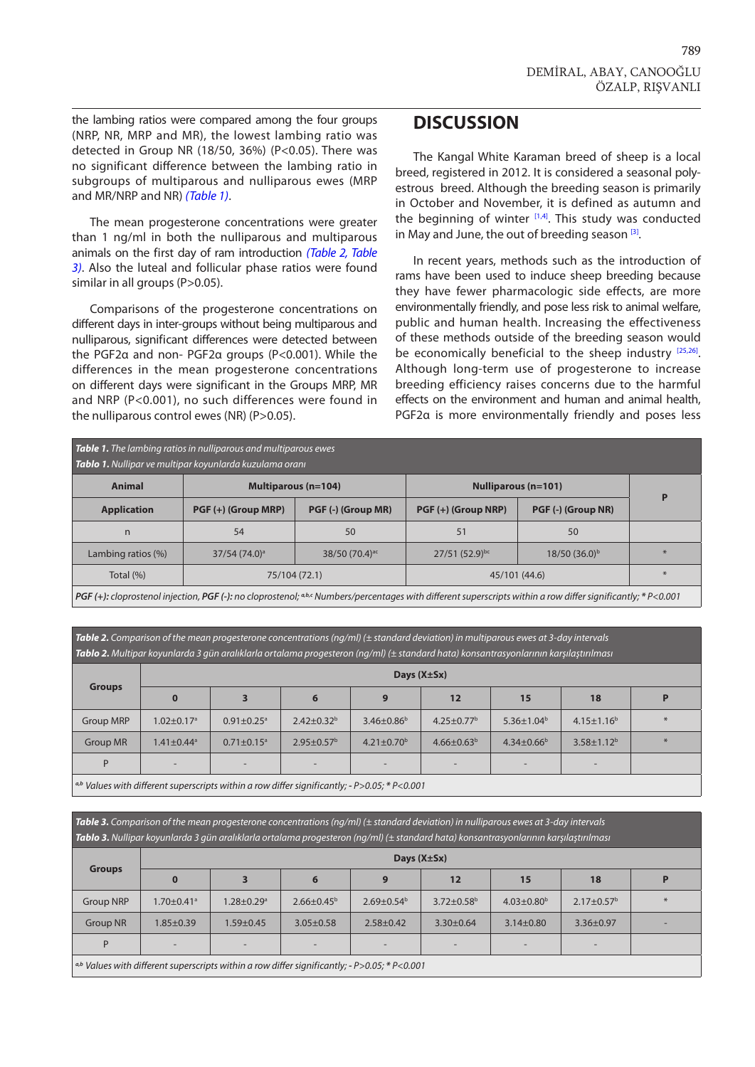<span id="page-2-0"></span>the lambing ratios were compared among the four groups (NRP, NR, MRP and MR), the lowest lambing ratio was detected in Group NR (18/50, 36%) (P<0.05). There was no significant difference between the lambing ratio in subgroups of multiparous and nulliparous ewes (MRP and MR/NRP and NR) *(Table 1)*.

The mean progesterone concentrations were greater than 1 ng/ml in both the nulliparous and multiparous animals on the first day of ram introduction *(Table 2, Table 3)*. Also the luteal and follicular phase ratios were found similar in all groups (P>0.05).

Comparisons of the progesterone concentrations on different days in inter-groups without being multiparous and nulliparous, significant differences were detected between the PGF2α and non- PGF2α groups (P<0.001). While the differences in the mean progesterone concentrations on different days were significant in the Groups MRP, MR and NRP (P<0.001), no such differences were found in the nulliparous control ewes (NR) (P>0.05).

#### **DISCUSSION**

The Kangal White Karaman breed of sheep is a local breed, registered in 2012. It is considered a seasonal polyestrous breed. Although the breeding season is primarily in October and November, it is defined as autumn and the beginning of winter  $[1,4]$ . This study was conducted in May and June, the out of breeding season  $[3]$ .

In recent years, methods such as the introduction of rams have been used to induce sheep breeding because they have fewer pharmacologic side effects, are more environmentally friendly, and pose less risk to animal welfare, public and human health. Increasing the effectiveness of these methods outside of the breeding season would be economically beneficial to the sheep industry [\[25,26\].](#page-4-0) Although long-term use of progesterone to increase breeding efficiency raises concerns due to the harmful effects on the environment and human and animal health, PGF2α is more environmentally friendly and poses less

| <b>Table 1.</b> The lambing ratios in nulliparous and multiparous ewes<br>Tablo 1. Nullipar ve multipar koyunlarda kuzulama oranı |                             |                              |                            |                    |     |  |  |  |
|-----------------------------------------------------------------------------------------------------------------------------------|-----------------------------|------------------------------|----------------------------|--------------------|-----|--|--|--|
| Animal                                                                                                                            | <b>Multiparous (n=104)</b>  |                              | <b>Nulliparous (n=101)</b> | P                  |     |  |  |  |
| <b>Application</b>                                                                                                                | PGF (+) (Group MRP)         | PGF (-) (Group MR)           | PGF (+) (Group NRP)        | PGF (-) (Group NR) |     |  |  |  |
| n                                                                                                                                 | 54                          | 50                           | 51                         | 50                 |     |  |  |  |
| Lambing ratios (%)                                                                                                                | $37/54$ (74.0) <sup>a</sup> | $38/50$ (70.4) <sup>ac</sup> | $27/51$ (52.9)bc           | $18/50(36.0)^{b}$  | $*$ |  |  |  |
| Total (%)                                                                                                                         | 75/104 (72.1)               |                              | 45/101 (44.6)              | $*$                |     |  |  |  |

*PGF* (+): *cloprostenol injection, PGF (-): no cloprostenol; <sup>a,b,c</sup> Numbers/percentages with different superscripts within a row differ significantly; \* P<0.001* 

*Table 2. Comparison of the mean progesterone concentrations (ng/ml) (± standard deviation) in multiparous ewes at 3-day intervals Tablo 2. Multipar koyunlarda 3 gün aralıklarla ortalama progesteron (ng/ml) (± standard hata) konsantrasyonlarının karşılaştırılması*

| <b>Groups</b>                                                                                                     | Days $(X±Sx)$                |                              |                          |                              |                            |                         |                          |   |
|-------------------------------------------------------------------------------------------------------------------|------------------------------|------------------------------|--------------------------|------------------------------|----------------------------|-------------------------|--------------------------|---|
|                                                                                                                   | $\bf{0}$                     | 3                            | 6                        | 9                            | 12                         | 15                      | 18                       |   |
| <b>Group MRP</b>                                                                                                  | $1.02 \pm 0.17$ <sup>a</sup> | $0.91 \pm 0.25$ <sup>a</sup> | $2.42 \pm 0.32^b$        | $3.46 \pm 0.86^b$            | 4.25 $\pm$ 0.77 $^{\rm b}$ | $5.36 \pm 1.04^b$       | $4.15 \pm 1.16^b$        | * |
| <b>Group MR</b>                                                                                                   | $1.41 \pm 0.44$ <sup>a</sup> | $0.71 \pm 0.15$ <sup>a</sup> | $2.95 \pm 0.57^{\rm b}$  | $4.21 \pm 0.70$ <sup>b</sup> | $4.66 \pm 0.63^b$          | $4.34 \pm 0.66^{\circ}$ | $3.58 \pm 1.12^b$        | * |
| D                                                                                                                 | $\overline{\phantom{a}}$     | $\overline{\phantom{a}}$     | $\overline{\phantom{a}}$ | -                            | $\overline{\phantom{a}}$   | -                       | $\overline{\phantom{a}}$ |   |
| $ a,b $ Values with different superscripts within a row differ significantly - $D\setminus 0.05*D\setminus 0.001$ |                              |                              |                          |                              |                            |                         |                          |   |

*a,b Values with different superscripts within a row differ significantly; - P>0.05; \* P<0.001*

*Table 3. Comparison of the mean progesterone concentrations (ng/ml) (± standard deviation) in nulliparous ewes at 3-day intervals Tablo 3. Nullipar koyunlarda 3 gün aralıklarla ortalama progesteron (ng/ml) (± standard hata) konsantrasyonlarının karşılaştırılması*

| <b>Groups</b>                                                                                                    | Days $(X±Sx)$                |                              |                   |                          |                              |                              |                              |   |
|------------------------------------------------------------------------------------------------------------------|------------------------------|------------------------------|-------------------|--------------------------|------------------------------|------------------------------|------------------------------|---|
|                                                                                                                  | 0                            | 3                            | 6                 | 9                        | 12                           | 15                           | 18                           |   |
| <b>Group NRP</b>                                                                                                 | $1.70 \pm 0.41$ <sup>a</sup> | $1.28 \pm 0.29$ <sup>a</sup> | $2.66 \pm 0.45^b$ | $2.69 \pm 0.54^b$        | $3.72 \pm 0.58$ <sup>b</sup> | $4.03 \pm 0.80$ <sup>b</sup> | $2.17 \pm 0.57$ <sup>b</sup> | * |
| <b>Group NR</b>                                                                                                  | $1.85 \pm 0.39$              | $.59 \pm 0.45$               | $3.05 \pm 0.58$   | $2.58 \pm 0.42$          | $3.30 \pm 0.64$              | $3.14 \pm 0.80$              | $3.36 \pm 0.97$              | - |
| D                                                                                                                | $\overline{\phantom{0}}$     | $\overline{\phantom{a}}$     | -                 | $\overline{\phantom{a}}$ | $\overline{\phantom{0}}$     |                              | -                            |   |
| $\vert$ <sup>a,b</sup> Values with different superscripts within a row differ significantly; - P>0.05; * P<0.001 |                              |                              |                   |                          |                              |                              |                              |   |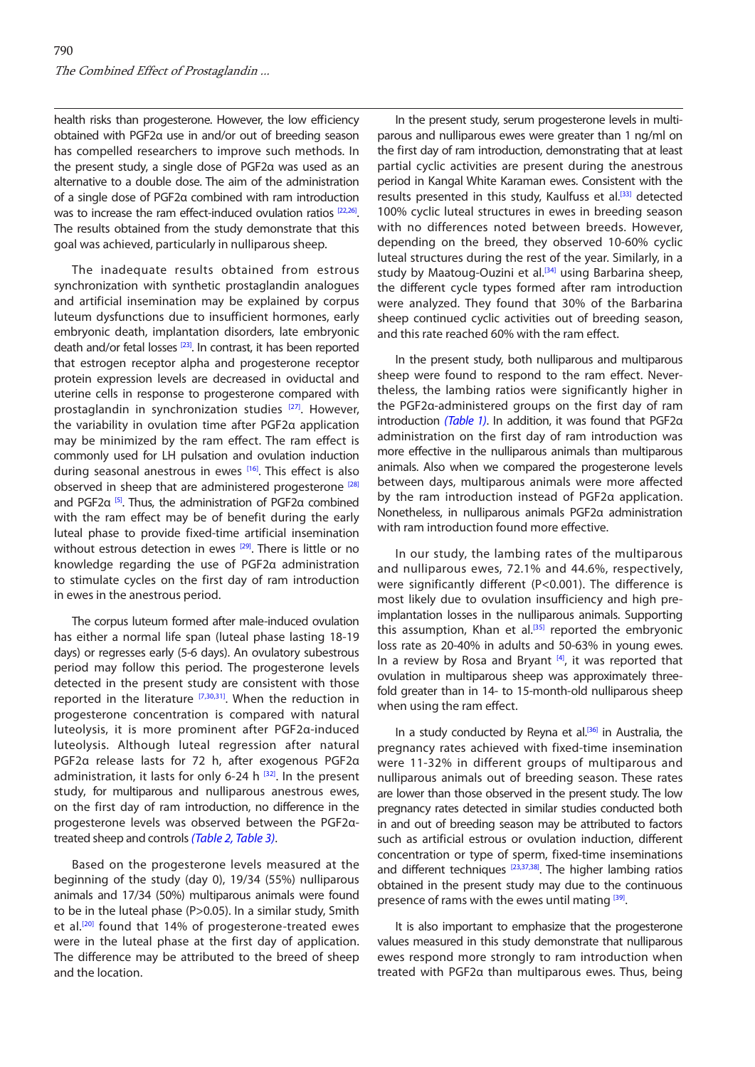health risks than progesterone. However, the low efficiency obtained with PGF2α use in and/or out of breeding season has compelled researchers to improve such methods. In the present study, a single dose of PGF2α was used as an alternative to a double dose. The aim of the administration of a single dose of PGF2α combined with ram introduction was to increase the ram effect-induced ovulation ratios [\[22,26\].](#page-4-0) The results obtained from the study demonstrate that this goal was achieved, particularly in nulliparous sheep.

The inadequate results obtained from estrous synchronization with synthetic prostaglandin analogues and artificial insemination may be explained by corpus luteum dysfunctions due to insufficient hormones, early embryonic death, implantation disorders, late embryonic death and/or fetal losses [\[23\]](#page-4-0). In contrast, it has been reported that estrogen receptor alpha and progesterone receptor protein expression levels are decreased in oviductal and uterine cells in response to progesterone compared with prostaglandin in synchronization studies<sup>[\[27\]](#page-4-0)</sup>. However, the variability in ovulation time after PGF2α application may be minimized by the ram effect. The ram effect is commonly used for LH pulsation and ovulation induction during seasonal anestrous in ewes [\[16\].](#page-4-0) This effect is also observed in sheep that are administered progesterone<sup>[\[28\]](#page-4-0)</sup> and PGF2α [\[5\].](#page-4-0) Thus, the administration of PGF2α combined with the ram effect may be of benefit during the early luteal phase to provide fixed-time artificial insemination without estrous detection in ewes <sup>[\[29\]](#page-4-0)</sup>. There is little or no knowledge regarding the use of PGF2α administration to stimulate cycles on the first day of ram introduction in ewes in the anestrous period.

The corpus luteum formed after male-induced ovulation has either a normal life span (luteal phase lasting 18-19 days) or regresses early (5-6 days). An ovulatory subestrous period may follow this period. The progesterone levels detected in the present study are consistent with those reported in the literature [\[7,30,31\].](#page-4-0) When the reduction in progesterone concentration is compared with natural luteolysis, it is more prominent after PGF2α-induced luteolysis. Although luteal regression after natural PGF2α release lasts for 72 h, after exogenous PGF2α administration, it lasts for only 6-24 h  $[32]$ . In the present study, for multiparous and nulliparous anestrous ewes, on the first day of ram introduction, no difference in the progesterone levels was observed between the PGF2αtreated sheep and controls *[\(Table 2](#page-2-0), [Table 3\)](#page-2-0)*.

Based on the progesterone levels measured at the beginning of the study (day 0), 19/34 (55%) nulliparous animals and 17/34 (50%) multiparous animals were found to be in the luteal phase (P>0.05). In a similar study, Smith et al.<sup>[\[20\]](#page-4-0)</sup> found that 14% of progesterone-treated ewes were in the luteal phase at the first day of application. The difference may be attributed to the breed of sheep and the location.

In the present study, serum progesterone levels in multiparous and nulliparous ewes were greater than 1 ng/ml on the first day of ram introduction, demonstrating that at least partial cyclic activities are present during the anestrous period in Kangal White Karaman ewes. Consistent with the results presented in this study, Kaulfuss et al.<sup>[33]</sup> detected 100% cyclic luteal structures in ewes in breeding season with no differences noted between breeds. However, depending on the breed, they observed 10-60% cyclic luteal structures during the rest of the year. Similarly, in a study by Maatoug-Ouzini et al.<sup>[34]</sup> using Barbarina sheep, the different cycle types formed after ram introduction were analyzed. They found that 30% of the Barbarina sheep continued cyclic activities out of breeding season, and this rate reached 60% with the ram effect.

In the present study, both nulliparous and multiparous sheep were found to respond to the ram effect. Nevertheless, the lambing ratios were significantly higher in the PGF2α-administered groups on the first day of ram introduction *[\(Table 1\)](#page-2-0)*. In addition, it was found that PGF2α administration on the first day of ram introduction was more effective in the nulliparous animals than multiparous animals. Also when we compared the progesterone levels between days, multiparous animals were more affected by the ram introduction instead of PGF2α application. Nonetheless, in nulliparous animals PGF2α administration with ram introduction found more effective.

In our study, the lambing rates of the multiparous and nulliparous ewes, 72.1% and 44.6%, respectively, were significantly different (P<0.001). The difference is most likely due to ovulation insufficiency and high preimplantation losses in the nulliparous animals. Supporting this assumption, Khan et al.<sup>[35]</sup> reported the embryonic loss rate as 20-40% in adults and 50-63% in young ewes. In a review by Rosa and Bryant  $[4]$ , it was reported that ovulation in multiparous sheep was approximately threefold greater than in 14- to 15-month-old nulliparous sheep when using the ram effect.

In a study conducted by Reyna et al. $[36]$  in Australia, the pregnancy rates achieved with fixed-time insemination were 11-32% in different groups of multiparous and nulliparous animals out of breeding season. These rates are lower than those observed in the present study. The low pregnancy rates detected in similar studies conducted both in and out of breeding season may be attributed to factors such as artificial estrous or ovulation induction, different concentration or type of sperm, fixed-time inseminations and different techniques  $[23,37,38]$  $[23,37,38]$ . The higher lambing ratios obtained in the present study may due to the continuous presence of rams with the ewes until mating [\[39\]](#page-5-0).

It is also important to emphasize that the progesterone values measured in this study demonstrate that nulliparous ewes respond more strongly to ram introduction when treated with PGF2α than multiparous ewes. Thus, being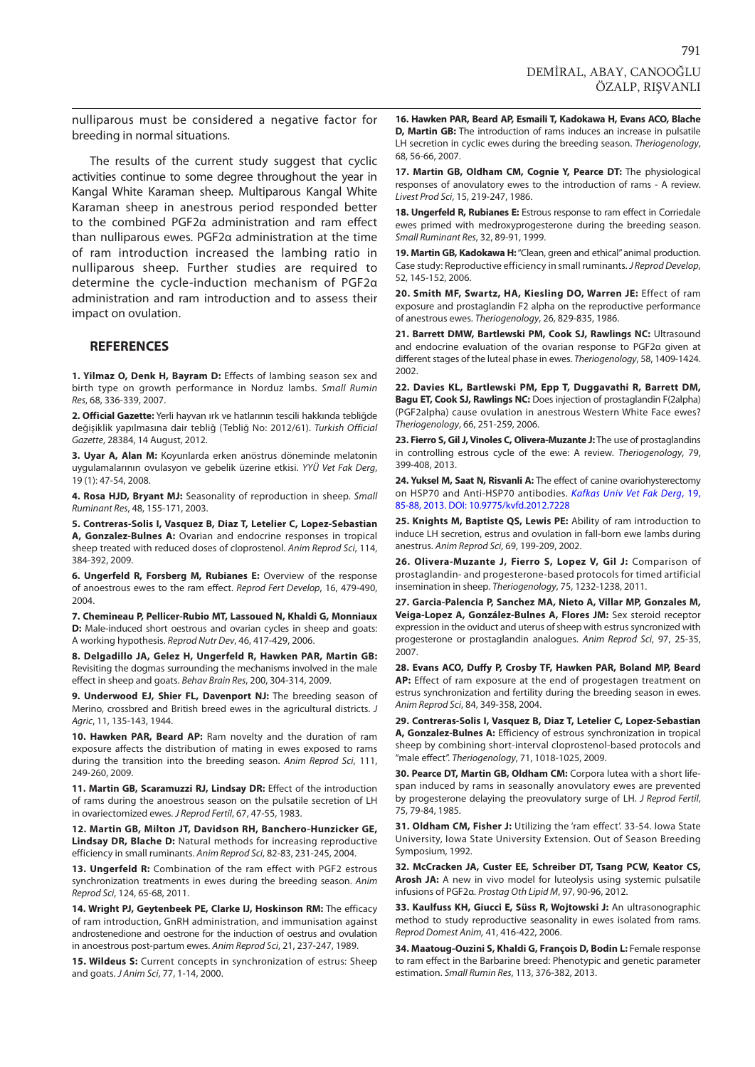<span id="page-4-0"></span>nulliparous must be considered a negative factor for breeding in normal situations.

The results of the current study suggest that cyclic activities continue to some degree throughout the year in Kangal White Karaman sheep. Multiparous Kangal White Karaman sheep in anestrous period responded better to the combined PGF2α administration and ram effect than nulliparous ewes. PGF2α administration at the time of ram introduction increased the lambing ratio in nulliparous sheep. Further studies are required to determine the cycle-induction mechanism of PGF2α administration and ram introduction and to assess their impact on ovulation.

#### **REFERENCES**

**1. Yilmaz O, Denk H, Bayram D:** Effects of lambing season sex and birth type on growth performance in Norduz lambs. *Small Rumin Res*, 68, 336-339, 2007.

**2. Official Gazette:** Yerli hayvan ırk ve hatlarının tescili hakkında tebliğde değişiklik yapılmasına dair tebliğ (Tebliğ No: 2012/61). *Turkish Official Gazette*, 28384, 14 August, 2012.

**3. Uyar A, Alan M:** Koyunlarda erken anöstrus döneminde melatonin uygulamalarının ovulasyon ve gebelik üzerine etkisi. *YYÜ Vet Fak Derg*, 19 (1): 47-54, 2008.

**4. Rosa HJD, Bryant MJ:** Seasonality of reproduction in sheep. *Small Ruminant Res*, 48, 155-171, 2003.

**5. Contreras-Solis I, Vasquez B, Diaz T, Letelier C, Lopez-Sebastian A, Gonzalez-Bulnes A:** Ovarian and endocrine responses in tropical sheep treated with reduced doses of cloprostenol. *Anim Reprod Sci*, 114, 384-392, 2009.

**6. Ungerfeld R, Forsberg M, Rubianes E:** Overview of the response of anoestrous ewes to the ram effect. *Reprod Fert Develop*, 16, 479-490, 2004.

**7. Chemineau P, Pellicer-Rubio MT, Lassoued N, Khaldi G, Monniaux D:** Male-induced short oestrous and ovarian cycles in sheep and goats: A working hypothesis. *Reprod Nutr Dev*, 46, 417-429, 2006.

**8. Delgadillo JA, Gelez H, Ungerfeld R, Hawken PAR, Martin GB:** Revisiting the dogmas surrounding the mechanisms involved in the male effect in sheep and goats. *Behav Brain Res*, 200, 304-314, 2009.

**9. Underwood EJ, Shier FL, Davenport NJ:** The breeding season of Merino, crossbred and British breed ewes in the agricultural districts. *J Agric*, 11, 135-143, 1944.

**10. Hawken PAR, Beard AP:** Ram novelty and the duration of ram exposure affects the distribution of mating in ewes exposed to rams during the transition into the breeding season. *Anim Reprod Sci*, 111, 249-260, 2009.

**11. Martin GB, Scaramuzzi RJ, Lindsay DR:** Effect of the introduction of rams during the anoestrous season on the pulsatile secretion of LH in ovariectomized ewes. *J Reprod Fertil*, 67, 47-55, 1983.

**12. Martin GB, Milton JT, Davidson RH, Banchero-Hunzicker GE, Lindsay DR, Blache D:** Natural methods for increasing reproductive efficiency in small ruminants. *Anim Reprod Sci*, 82-83, 231-245, 2004.

**13. Ungerfeld R:** Combination of the ram effect with PGF2 estrous synchronization treatments in ewes during the breeding season. *Anim Reprod Sci*, 124, 65-68, 2011.

**14. Wright PJ, Geytenbeek PE, Clarke IJ, Hoskinson RM:** The efficacy of ram introduction, GnRH administration, and immunisation against androstenedione and oestrone for the induction of oestrus and ovulation in anoestrous post-partum ewes. *Anim Reprod Sci*, 21, 237-247, 1989.

**15. Wildeus S:** Current concepts in synchronization of estrus: Sheep and goats. *J Anim Sci*, 77, 1-14, 2000.

**16. Hawken PAR, Beard AP, Esmaili T, Kadokawa H, Evans ACO, Blache D, Martin GB:** The introduction of rams induces an increase in pulsatile LH secretion in cyclic ewes during the breeding season. *Theriogenology*, 68, 56-66, 2007.

**17. Martin GB, Oldham CM, Cognie Y, Pearce DT:** The physiological responses of anovulatory ewes to the introduction of rams - A review. *Livest Prod Sci*, 15, 219-247, 1986.

**18. Ungerfeld R, Rubianes E:** Estrous response to ram effect in Corriedale ewes primed with medroxyprogesterone during the breeding season. *Small Ruminant Res*, 32, 89-91, 1999.

**19. Martin GB, Kadokawa H:** "Clean, green and ethical" animal production. Case study: Reproductive efficiency in small ruminants. *J Reprod Develop*, 52, 145-152, 2006.

**20. Smith MF, Swartz, HA, Kiesling DO, Warren JE:** Effect of ram exposure and prostaglandin F2 alpha on the reproductive performance of anestrous ewes. *Theriogenology*, 26, 829-835, 1986.

**21. Barrett DMW, Bartlewski PM, Cook SJ, Rawlings NC:** Ultrasound and endocrine evaluation of the ovarian response to PGF2α given at different stages of the luteal phase in ewes. *Theriogenology*, 58, 1409-1424. 2002.

**22. Davies KL, Bartlewski PM, Epp T, Duggavathi R, Barrett DM, Bagu ET, Cook SJ, Rawlings NC:** Does injection of prostaglandin F(2alpha) (PGF2alpha) cause ovulation in anestrous Western White Face ewes? *Theriogenology*, 66, 251-259, 2006.

**23. Fierro S, Gil J, Vinoles C, Olivera-Muzante J:** The use of prostaglandins in controlling estrous cycle of the ewe: A review. *Theriogenology*, 79, 399-408, 2013.

**24. Yuksel M, Saat N, Risvanli A:** The effect of canine ovariohysterectomy [on HSP70 and Anti-HSP70 antibodies.](http://vetdergi.kafkas.edu.tr/extdocs/2013_1/85-88.pdf) *Kafkas Univ Vet Fak Derg*, 19, 85-88, 2013. DOI: 10.9775/kvfd.2012.7228

**25. Knights M, Baptiste QS, Lewis PE:** Ability of ram introduction to induce LH secretion, estrus and ovulation in fall-born ewe lambs during anestrus. *Anim Reprod Sci*, 69, 199-209, 2002.

**26. Olivera-Muzante J, Fierro S, Lopez V, Gil J:** Comparison of prostaglandin- and progesterone-based protocols for timed artificial insemination in sheep. *Theriogenology*, 75, 1232-1238, 2011.

**27. Garcia-Palencia P, Sanchez MA, Nieto A, Villar MP, Gonzales M, Veiga-Lopez A, González-Bulnes A, Flores JM:** Sex steroid receptor expression in the oviduct and uterus of sheep with estrus syncronized with progesterone or prostaglandin analogues. *Anim Reprod Sci*, 97, 25-35, 2007.

**28. Evans ACO, Duffy P, Crosby TF, Hawken PAR, Boland MP, Beard AP:** Effect of ram exposure at the end of progestagen treatment on estrus synchronization and fertility during the breeding season in ewes. *Anim Reprod Sci*, 84, 349-358, 2004.

**29. Contreras-Solis I, Vasquez B, Diaz T, Letelier C, Lopez-Sebastian A, Gonzalez-Bulnes A:** Efficiency of estrous synchronization in tropical sheep by combining short-interval cloprostenol-based protocols and "male effect". *Theriogenology*, 71, 1018-1025, 2009.

**30. Pearce DT, Martin GB, Oldham CM:** Corpora lutea with a short lifespan induced by rams in seasonally anovulatory ewes are prevented by progesterone delaying the preovulatory surge of LH. *J Reprod Fertil*, 75, 79-84, 1985.

**31. Oldham CM, Fisher J:** Utilizing the 'ram effect'. 33-54. Iowa State University, Iowa State University Extension. Out of Season Breeding Symposium, 1992.

**32. McCracken JA, Custer EE, Schreiber DT, Tsang PCW, Keator CS, Arosh JA:** A new in vivo model for luteolysis using systemic pulsatile infusions of PGF2α. *Prostag Oth Lipid M*, 97, 90-96, 2012.

**33. Kaulfuss KH, Giucci E, Süss R, Wojtowski J:** An ultrasonographic method to study reproductive seasonality in ewes isolated from rams. *Reprod Domest Anim,* 41, 416-422, 2006.

**34. Maatoug-Ouzini S, Khaldi G, François D, Bodin L:** Female response to ram effect in the Barbarine breed: Phenotypic and genetic parameter estimation. *Small Rumin Res*, 113, 376-382, 2013.